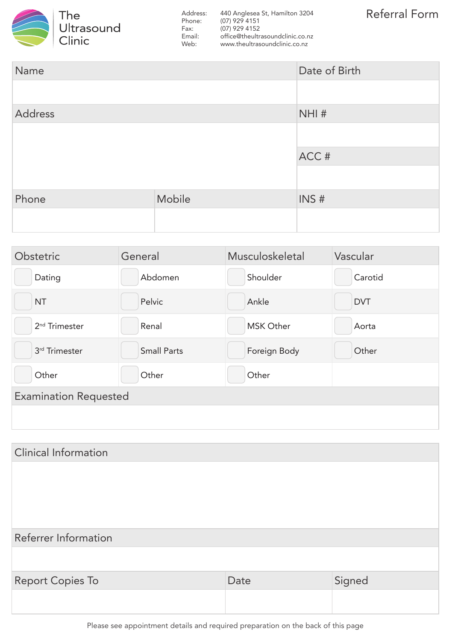

Address: 440 Anglesea St, Hamilton 3204 Phone: (07) 929 4151 Fax: (07) 929 4152<br>Email: office@theultr Email: office@theultrasoundclinic.co.nz<br>Web: www.theultrasoundclinic.co.nz www.theultrasoundclinic.co.nz

| Name    |        | Date of Birth |
|---------|--------|---------------|
|         |        |               |
| Address |        | NHI#          |
|         |        |               |
|         |        | ACC#          |
|         |        |               |
| Phone   | Mobile | INS#          |
|         |        |               |

| Obstetric                    | General            | Musculoskeletal  | Vascular   |  |
|------------------------------|--------------------|------------------|------------|--|
| Dating                       | Abdomen            | Shoulder         | Carotid    |  |
| <b>NT</b>                    | Pelvic             | Ankle            | <b>DVT</b> |  |
| 2 <sup>nd</sup> Trimester    | Renal              | <b>MSK Other</b> | Aorta      |  |
| 3rd Trimester                | <b>Small Parts</b> | Foreign Body     | Other      |  |
| Other                        | Other              | Other            |            |  |
| <b>Examination Requested</b> |                    |                  |            |  |
|                              |                    |                  |            |  |

| Referrer Information |        |  |  |
|----------------------|--------|--|--|
|                      |        |  |  |
| Date                 | Signed |  |  |
|                      |        |  |  |
|                      |        |  |  |